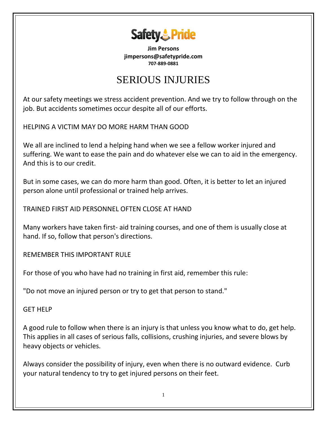

**Jim Persons jimpersons@safetypride.com 707-889-0881**

## SERIOUS INJURIES

At our safety meetings we stress accident prevention. And we try to follow through on the job. But accidents sometimes occur despite all of our efforts.

HELPING A VICTIM MAY DO MORE HARM THAN GOOD

We all are inclined to lend a helping hand when we see a fellow worker injured and suffering. We want to ease the pain and do whatever else we can to aid in the emergency. And this is to our credit.

But in some cases, we can do more harm than good. Often, it is better to let an injured person alone until professional or trained help arrives.

TRAINED FIRST AID PERSONNEL OFTEN CLOSE AT HAND

Many workers have taken first- aid training courses, and one of them is usually close at hand. If so, follow that person's directions.

REMEMBER THIS IMPORTANT RULE

For those of you who have had no training in first aid, remember this rule:

"Do not move an injured person or try to get that person to stand."

GET HELP

A good rule to follow when there is an injury is that unless you know what to do, get help. This applies in all cases of serious falls, collisions, crushing injuries, and severe blows by heavy objects or vehicles.

Always consider the possibility of injury, even when there is no outward evidence. Curb your natural tendency to try to get injured persons on their feet.